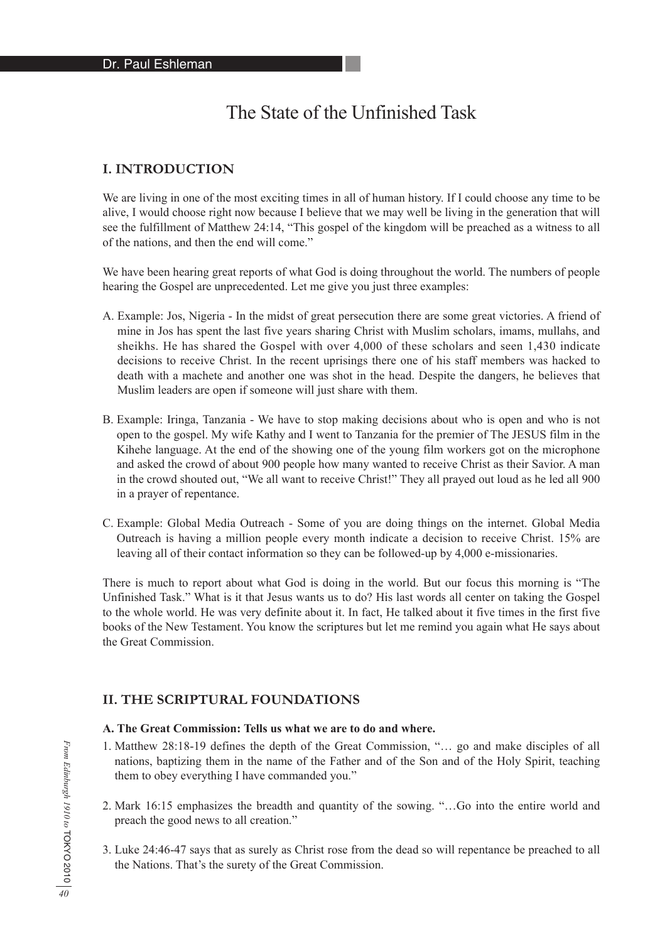# The State of the Unfinished Task

### **I. INTRODUCTION**

We are living in one of the most exciting times in all of human history. If I could choose any time to be alive, I would choose right now because I believe that we may well be living in the generation that will see the fulfillment of Matthew 24:14, "This gospel of the kingdom will be preached as a witness to all of the nations, and then the end will come."

We have been hearing great reports of what God is doing throughout the world. The numbers of people hearing the Gospel are unprecedented. Let me give you just three examples:

- A. Example: Jos, Nigeria In the midst of great persecution there are some great victories. A friend of mine in Jos has spent the last five years sharing Christ with Muslim scholars, imams, mullahs, and sheikhs. He has shared the Gospel with over 4,000 of these scholars and seen 1,430 indicate decisions to receive Christ. In the recent uprisings there one of his staff members was hacked to death with a machete and another one was shot in the head. Despite the dangers, he believes that Muslim leaders are open if someone will just share with them.
- B. Example: Iringa, Tanzania We have to stop making decisions about who is open and who is not open to the gospel. My wife Kathy and I went to Tanzania for the premier of The JESUS film in the Kihehe language. At the end of the showing one of the young film workers got on the microphone and asked the crowd of about 900 people how many wanted to receive Christ as their Savior. A man in the crowd shouted out, "We all want to receive Christ!" They all prayed out loud as he led all 900 in a prayer of repentance.
- C. Example: Global Media Outreach Some of you are doing things on the internet. Global Media Outreach is having a million people every month indicate a decision to receive Christ. 15% are leaving all of their contact information so they can be followed-up by 4,000 e-missionaries.

There is much to report about what God is doing in the world. But our focus this morning is "The Unfinished Task." What is it that Jesus wants us to do? His last words all center on taking the Gospel to the whole world. He was very definite about it. In fact, He talked about it five times in the first five books of the New Testament. You know the scriptures but let me remind you again what He says about the Great Commission.

#### **II. THE SCRIPTURAL FOUNDATIONS**

#### **A. The Great Commission: Tells us what we are to do and where.**

- 1. Matthew 28:18-19 defines the depth of the Great Commission, "… go and make disciples of all nations, baptizing them in the name of the Father and of the Son and of the Holy Spirit, teaching them to obey everything I have commanded you."
- 2. Mark 16:15 emphasizes the breadth and quantity of the sowing. "…Go into the entire world and preach the good news to all creation."
- 3. Luke 24:46-47 says that as surely as Christ rose from the dead so will repentance be preached to all the Nations. That's the surety of the Great Commission.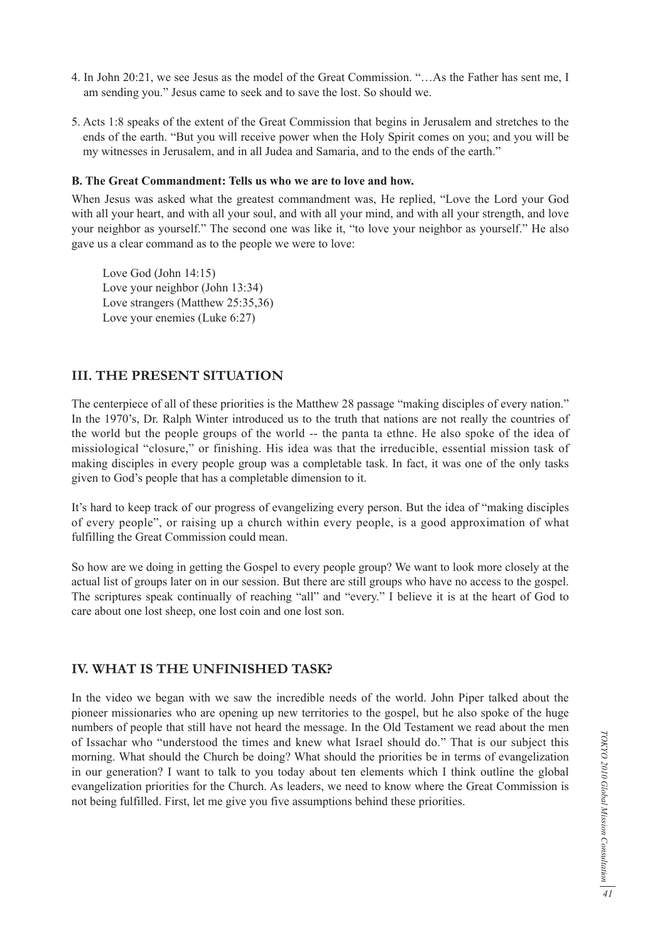- 4. In John 20:21, we see Jesus as the model of the Great Commission. "…As the Father has sent me, I am sending you." Jesus came to seek and to save the lost. So should we.
- 5. Acts 1:8 speaks of the extent of the Great Commission that begins in Jerusalem and stretches to the ends of the earth. "But you will receive power when the Holy Spirit comes on you; and you will be my witnesses in Jerusalem, and in all Judea and Samaria, and to the ends of the earth."

#### **B. The Great Commandment: Tells us who we are to love and how.**

When Jesus was asked what the greatest commandment was, He replied, "Love the Lord your God with all your heart, and with all your soul, and with all your mind, and with all your strength, and love your neighbor as yourself." The second one was like it, "to love your neighbor as yourself." He also gave us a clear command as to the people we were to love:

 Love God (John 14:15) Love your neighbor (John 13:34) Love strangers (Matthew 25:35,36) Love your enemies (Luke 6:27)

### **III. THE PRESENT SITUATION**

The centerpiece of all of these priorities is the Matthew 28 passage "making disciples of every nation." In the 1970's, Dr. Ralph Winter introduced us to the truth that nations are not really the countries of the world but the people groups of the world -- the panta ta ethne. He also spoke of the idea of missiological "closure," or finishing. His idea was that the irreducible, essential mission task of making disciples in every people group was a completable task. In fact, it was one of the only tasks given to God's people that has a completable dimension to it.

It's hard to keep track of our progress of evangelizing every person. But the idea of "making disciples of every people", or raising up a church within every people, is a good approximation of what fulfilling the Great Commission could mean.

So how are we doing in getting the Gospel to every people group? We want to look more closely at the actual list of groups later on in our session. But there are still groups who have no access to the gospel. The scriptures speak continually of reaching "all" and "every." I believe it is at the heart of God to care about one lost sheep, one lost coin and one lost son.

### **IV. WHAT IS THE UNFINISHED TASK?**

In the video we began with we saw the incredible needs of the world. John Piper talked about the pioneer missionaries who are opening up new territories to the gospel, but he also spoke of the huge numbers of people that still have not heard the message. In the Old Testament we read about the men of Issachar who "understood the times and knew what Israel should do." That is our subject this morning. What should the Church be doing? What should the priorities be in terms of evangelization in our generation? I want to talk to you today about ten elements which I think outline the global evangelization priorities for the Church. As leaders, we need to know where the Great Commission is not being fulfilled. First, let me give you five assumptions behind these priorities.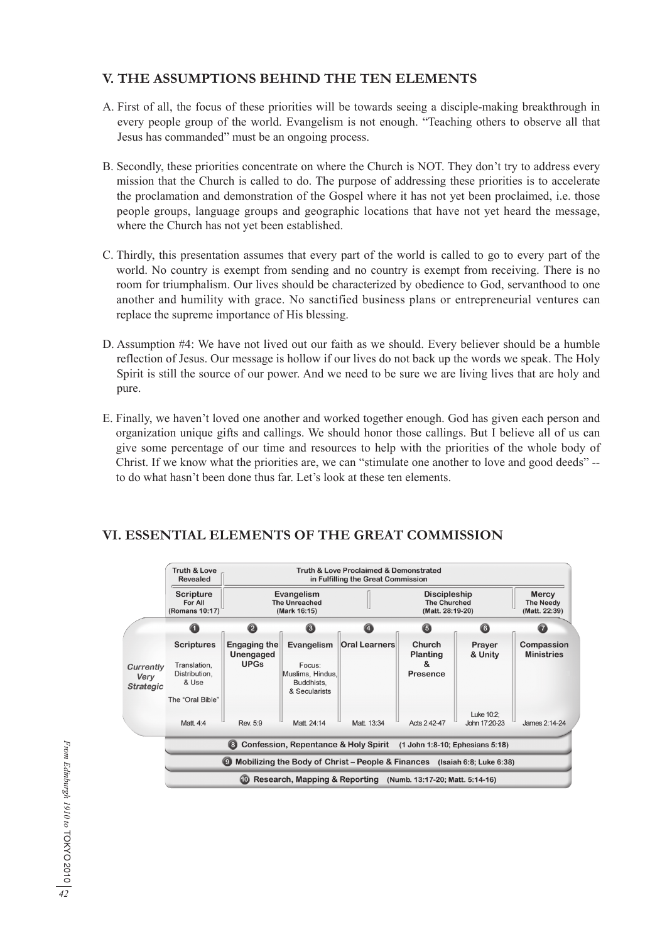# **V. THE ASSUMPTIONS BEHIND THE TEN ELEMENTS**

- A. First of all, the focus of these priorities will be towards seeing a disciple-making breakthrough in every people group of the world. Evangelism is not enough. "Teaching others to observe all that Jesus has commanded" must be an ongoing process.
- B. Secondly, these priorities concentrate on where the Church is NOT. They don't try to address every mission that the Church is called to do. The purpose of addressing these priorities is to accelerate the proclamation and demonstration of the Gospel where it has not yet been proclaimed, i.e. those people groups, language groups and geographic locations that have not yet heard the message, where the Church has not yet been established.
- C. Thirdly, this presentation assumes that every part of the world is called to go to every part of the world. No country is exempt from sending and no country is exempt from receiving. There is no room for triumphalism. Our lives should be characterized by obedience to God, servanthood to one another and humility with grace. No sanctified business plans or entrepreneurial ventures can replace the supreme importance of His blessing.
- D. Assumption #4: We have not lived out our faith as we should. Every believer should be a humble reflection of Jesus. Our message is hollow if our lives do not back up the words we speak. The Holy Spirit is still the source of our power. And we need to be sure we are living lives that are holy and pure.
- E. Finally, we haven't loved one another and worked together enough. God has given each person and organization unique gifts and callings. We should honor those callings. But I believe all of us can give some percentage of our time and resources to help with the priorities of the whole body of Christ. If we know what the priorities are, we can "stimulate one another to love and good deeds" - to do what hasn't been done thus far. Let's look at these ten elements.



# **VI. ESSENTIAL ELEMENTS OF THE GREAT COMMISSION**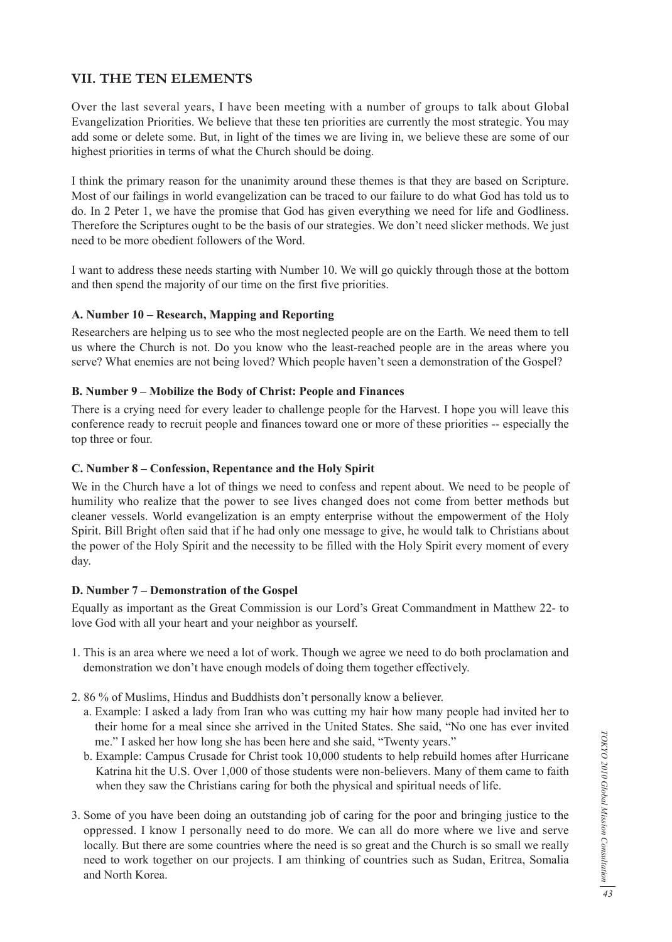# **VII. THE TEN ELEMENTS**

Over the last several years, I have been meeting with a number of groups to talk about Global Evangelization Priorities. We believe that these ten priorities are currently the most strategic. You may add some or delete some. But, in light of the times we are living in, we believe these are some of our highest priorities in terms of what the Church should be doing.

I think the primary reason for the unanimity around these themes is that they are based on Scripture. Most of our failings in world evangelization can be traced to our failure to do what God has told us to do. In 2 Peter 1, we have the promise that God has given everything we need for life and Godliness. Therefore the Scriptures ought to be the basis of our strategies. We don't need slicker methods. We just need to be more obedient followers of the Word.

I want to address these needs starting with Number 10. We will go quickly through those at the bottom and then spend the majority of our time on the first five priorities.

#### **A. Number 10 – Research, Mapping and Reporting**

Researchers are helping us to see who the most neglected people are on the Earth. We need them to tell us where the Church is not. Do you know who the least-reached people are in the areas where you serve? What enemies are not being loved? Which people haven't seen a demonstration of the Gospel?

#### **B. Number 9 – Mobilize the Body of Christ: People and Finances**

There is a crying need for every leader to challenge people for the Harvest. I hope you will leave this conference ready to recruit people and finances toward one or more of these priorities -- especially the top three or four.

#### **C. Number 8 – Confession, Repentance and the Holy Spirit**

We in the Church have a lot of things we need to confess and repent about. We need to be people of humility who realize that the power to see lives changed does not come from better methods but cleaner vessels. World evangelization is an empty enterprise without the empowerment of the Holy Spirit. Bill Bright often said that if he had only one message to give, he would talk to Christians about the power of the Holy Spirit and the necessity to be filled with the Holy Spirit every moment of every day.

#### **D. Number 7 – Demonstration of the Gospel**

Equally as important as the Great Commission is our Lord's Great Commandment in Matthew 22- to love God with all your heart and your neighbor as yourself.

- 1. This is an area where we need a lot of work. Though we agree we need to do both proclamation and demonstration we don't have enough models of doing them together effectively.
- 2. 86 % of Muslims, Hindus and Buddhists don't personally know a believer.
	- a. Example: I asked a lady from Iran who was cutting my hair how many people had invited her to their home for a meal since she arrived in the United States. She said, "No one has ever invited me." I asked her how long she has been here and she said, "Twenty years."
	- b. Example: Campus Crusade for Christ took 10,000 students to help rebuild homes after Hurricane Katrina hit the U.S. Over 1,000 of those students were non-believers. Many of them came to faith when they saw the Christians caring for both the physical and spiritual needs of life.
- 3. Some of you have been doing an outstanding job of caring for the poor and bringing justice to the oppressed. I know I personally need to do more. We can all do more where we live and serve locally. But there are some countries where the need is so great and the Church is so small we really need to work together on our projects. I am thinking of countries such as Sudan, Eritrea, Somalia and North Korea.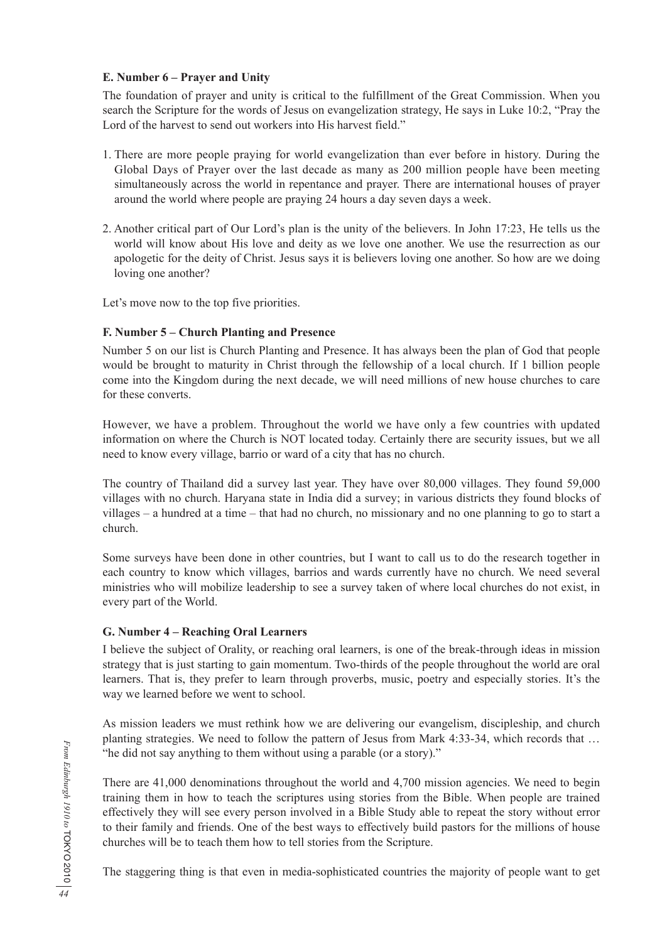### **E. Number 6 – Prayer and Unity**

The foundation of prayer and unity is critical to the fulfillment of the Great Commission. When you search the Scripture for the words of Jesus on evangelization strategy, He says in Luke 10:2, "Pray the Lord of the harvest to send out workers into His harvest field."

- 1. There are more people praying for world evangelization than ever before in history. During the Global Days of Prayer over the last decade as many as 200 million people have been meeting simultaneously across the world in repentance and prayer. There are international houses of prayer around the world where people are praying 24 hours a day seven days a week.
- 2. Another critical part of Our Lord's plan is the unity of the believers. In John 17:23, He tells us the world will know about His love and deity as we love one another. We use the resurrection as our apologetic for the deity of Christ. Jesus says it is believers loving one another. So how are we doing loving one another?

Let's move now to the top five priorities.

## **F. Number 5 – Church Planting and Presence**

Number 5 on our list is Church Planting and Presence. It has always been the plan of God that people would be brought to maturity in Christ through the fellowship of a local church. If 1 billion people come into the Kingdom during the next decade, we will need millions of new house churches to care for these converts.

However, we have a problem. Throughout the world we have only a few countries with updated information on where the Church is NOT located today. Certainly there are security issues, but we all need to know every village, barrio or ward of a city that has no church.

The country of Thailand did a survey last year. They have over 80,000 villages. They found 59,000 villages with no church. Haryana state in India did a survey; in various districts they found blocks of villages – a hundred at a time – that had no church, no missionary and no one planning to go to start a church.

Some surveys have been done in other countries, but I want to call us to do the research together in each country to know which villages, barrios and wards currently have no church. We need several ministries who will mobilize leadership to see a survey taken of where local churches do not exist, in every part of the World.

## **G. Number 4 – Reaching Oral Learners**

I believe the subject of Orality, or reaching oral learners, is one of the break-through ideas in mission strategy that is just starting to gain momentum. Two-thirds of the people throughout the world are oral learners. That is, they prefer to learn through proverbs, music, poetry and especially stories. It's the way we learned before we went to school.

As mission leaders we must rethink how we are delivering our evangelism, discipleship, and church planting strategies. We need to follow the pattern of Jesus from Mark 4:33-34, which records that … "he did not say anything to them without using a parable (or a story)."

There are 41,000 denominations throughout the world and 4,700 mission agencies. We need to begin training them in how to teach the scriptures using stories from the Bible. When people are trained effectively they will see every person involved in a Bible Study able to repeat the story without error to their family and friends. One of the best ways to effectively build pastors for the millions of house churches will be to teach them how to tell stories from the Scripture.

The staggering thing is that even in media-sophisticated countries the majority of people want to get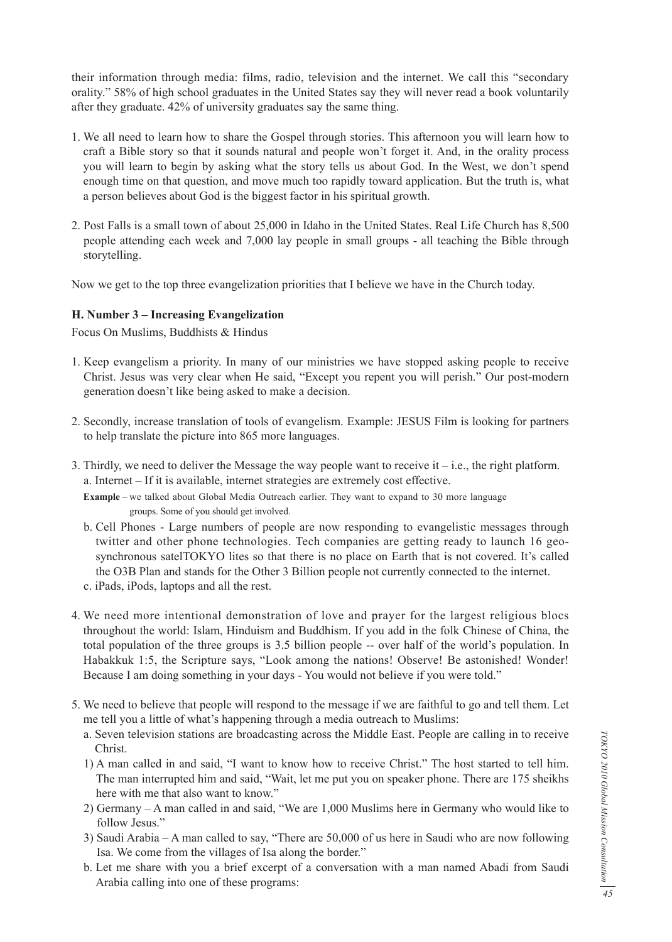their information through media: films, radio, television and the internet. We call this "secondary orality." 58% of high school graduates in the United States say they will never read a book voluntarily after they graduate. 42% of university graduates say the same thing.

- 1. We all need to learn how to share the Gospel through stories. This afternoon you will learn how to craft a Bible story so that it sounds natural and people won't forget it. And, in the orality process you will learn to begin by asking what the story tells us about God. In the West, we don't spend enough time on that question, and move much too rapidly toward application. But the truth is, what a person believes about God is the biggest factor in his spiritual growth.
- 2. Post Falls is a small town of about 25,000 in Idaho in the United States. Real Life Church has 8,500 people attending each week and 7,000 lay people in small groups - all teaching the Bible through storytelling.

Now we get to the top three evangelization priorities that I believe we have in the Church today.

#### **H. Number 3 – Increasing Evangelization**

Focus On Muslims, Buddhists & Hindus

- 1. Keep evangelism a priority. In many of our ministries we have stopped asking people to receive Christ. Jesus was very clear when He said, "Except you repent you will perish." Our post-modern generation doesn't like being asked to make a decision.
- 2. Secondly, increase translation of tools of evangelism. Example: JESUS Film is looking for partners to help translate the picture into 865 more languages.
- 3. Thirdly, we need to deliver the Message the way people want to receive it  $-$  i.e., the right platform. a. Internet – If it is available, internet strategies are extremely cost effective.
	- **Example** we talked about Global Media Outreach earlier. They want to expand to 30 more language groups. Some of you should get involved.
	- b. Cell Phones Large numbers of people are now responding to evangelistic messages through twitter and other phone technologies. Tech companies are getting ready to launch 16 geosynchronous satelTOKYO lites so that there is no place on Earth that is not covered. It's called the O3B Plan and stands for the Other 3 Billion people not currently connected to the internet.
	- c. iPads, iPods, laptops and all the rest.
- 4. We need more intentional demonstration of love and prayer for the largest religious blocs throughout the world: Islam, Hinduism and Buddhism. If you add in the folk Chinese of China, the total population of the three groups is 3.5 billion people -- over half of the world's population. In Habakkuk 1:5, the Scripture says, "Look among the nations! Observe! Be astonished! Wonder! Because I am doing something in your days - You would not believe if you were told."
- 5. We need to believe that people will respond to the message if we are faithful to go and tell them. Let me tell you a little of what's happening through a media outreach to Muslims:
	- a. Seven television stations are broadcasting across the Middle East. People are calling in to receive Christ.
	- 1) A man called in and said, "I want to know how to receive Christ." The host started to tell him. The man interrupted him and said, "Wait, let me put you on speaker phone. There are 175 sheikhs here with me that also want to know."
	- 2) Germany A man called in and said, "We are 1,000 Muslims here in Germany who would like to follow Jesus."
	- 3) Saudi Arabia A man called to say, "There are 50,000 of us here in Saudi who are now following Isa. We come from the villages of Isa along the border."
	- b. Let me share with you a brief excerpt of a conversation with a man named Abadi from Saudi Arabia calling into one of these programs: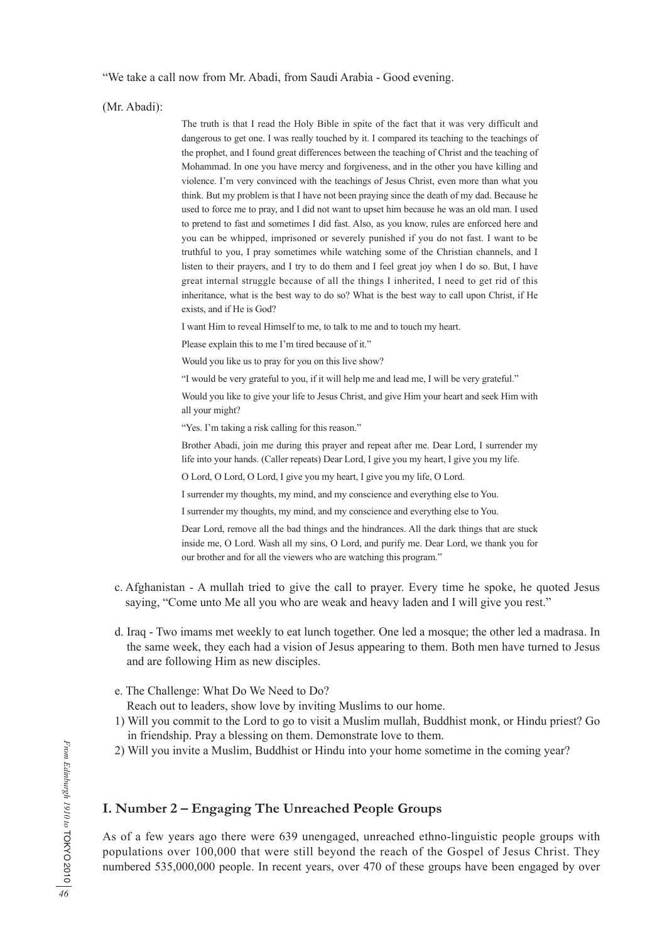"We take a call now from Mr. Abadi, from Saudi Arabia - Good evening.

(Mr. Abadi):

 The truth is that I read the Holy Bible in spite of the fact that it was very difficult and dangerous to get one. I was really touched by it. I compared its teaching to the teachings of the prophet, and I found great differences between the teaching of Christ and the teaching of Mohammad. In one you have mercy and forgiveness, and in the other you have killing and violence. I'm very convinced with the teachings of Jesus Christ, even more than what you think. But my problem is that I have not been praying since the death of my dad. Because he used to force me to pray, and I did not want to upset him because he was an old man. I used to pretend to fast and sometimes I did fast. Also, as you know, rules are enforced here and you can be whipped, imprisoned or severely punished if you do not fast. I want to be truthful to you, I pray sometimes while watching some of the Christian channels, and I listen to their prayers, and I try to do them and I feel great joy when I do so. But, I have great internal struggle because of all the things I inherited, I need to get rid of this inheritance, what is the best way to do so? What is the best way to call upon Christ, if He exists, and if He is God?

I want Him to reveal Himself to me, to talk to me and to touch my heart.

Please explain this to me I'm tired because of it."

Would you like us to pray for you on this live show?

"I would be very grateful to you, if it will help me and lead me, I will be very grateful."

 Would you like to give your life to Jesus Christ, and give Him your heart and seek Him with all your might?

"Yes. I'm taking a risk calling for this reason."

 Brother Abadi, join me during this prayer and repeat after me. Dear Lord, I surrender my life into your hands. (Caller repeats) Dear Lord, I give you my heart, I give you my life.

O Lord, O Lord, O Lord, I give you my heart, I give you my life, O Lord.

I surrender my thoughts, my mind, and my conscience and everything else to You.

I surrender my thoughts, my mind, and my conscience and everything else to You.

 Dear Lord, remove all the bad things and the hindrances. All the dark things that are stuck inside me, O Lord. Wash all my sins, O Lord, and purify me. Dear Lord, we thank you for our brother and for all the viewers who are watching this program."

- c. Afghanistan A mullah tried to give the call to prayer. Every time he spoke, he quoted Jesus saying, "Come unto Me all you who are weak and heavy laden and I will give you rest."
- d. Iraq Two imams met weekly to eat lunch together. One led a mosque; the other led a madrasa. In the same week, they each had a vision of Jesus appearing to them. Both men have turned to Jesus and are following Him as new disciples.
- e. The Challenge: What Do We Need to Do?

Reach out to leaders, show love by inviting Muslims to our home.

- 1) Will you commit to the Lord to go to visit a Muslim mullah, Buddhist monk, or Hindu priest? Go in friendship. Pray a blessing on them. Demonstrate love to them.
- 2) Will you invite a Muslim, Buddhist or Hindu into your home sometime in the coming year?

# **I. Number 2 – Engaging The Unreached People Groups**

As of a few years ago there were 639 unengaged, unreached ethno-linguistic people groups with populations over 100,000 that were still beyond the reach of the Gospel of Jesus Christ. They numbered 535,000,000 people. In recent years, over 470 of these groups have been engaged by over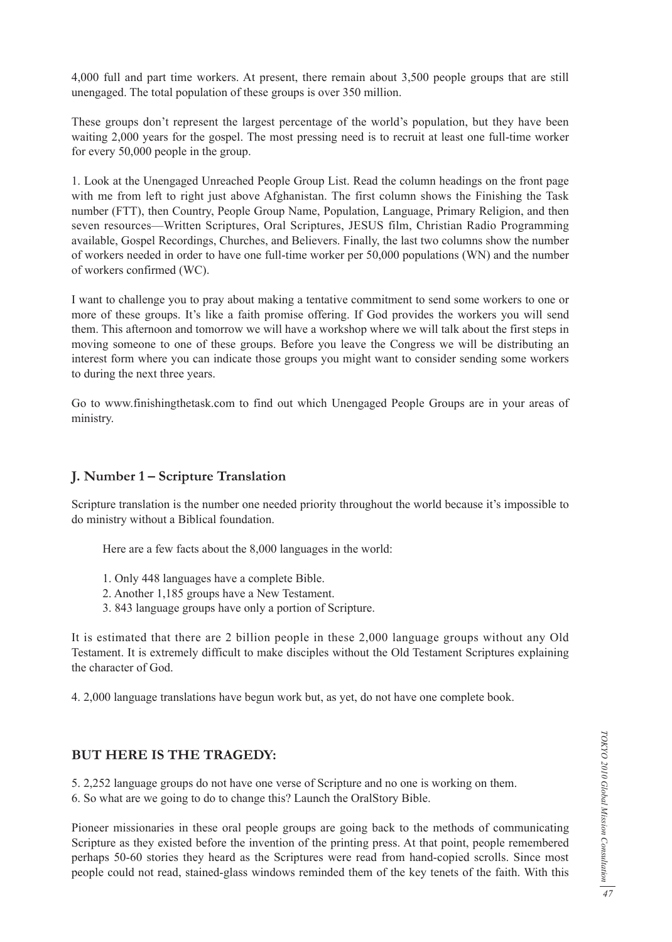4,000 full and part time workers. At present, there remain about 3,500 people groups that are still unengaged. The total population of these groups is over 350 million.

These groups don't represent the largest percentage of the world's population, but they have been waiting 2,000 years for the gospel. The most pressing need is to recruit at least one full-time worker for every 50,000 people in the group.

1. Look at the Unengaged Unreached People Group List. Read the column headings on the front page with me from left to right just above Afghanistan. The first column shows the Finishing the Task number (FTT), then Country, People Group Name, Population, Language, Primary Religion, and then seven resources—Written Scriptures, Oral Scriptures, JESUS film, Christian Radio Programming available, Gospel Recordings, Churches, and Believers. Finally, the last two columns show the number of workers needed in order to have one full-time worker per 50,000 populations (WN) and the number of workers confirmed (WC).

I want to challenge you to pray about making a tentative commitment to send some workers to one or more of these groups. It's like a faith promise offering. If God provides the workers you will send them. This afternoon and tomorrow we will have a workshop where we will talk about the first steps in moving someone to one of these groups. Before you leave the Congress we will be distributing an interest form where you can indicate those groups you might want to consider sending some workers to during the next three years.

Go to www.finishingthetask.com to find out which Unengaged People Groups are in your areas of ministry.

#### **J. Number 1 – Scripture Translation**

Scripture translation is the number one needed priority throughout the world because it's impossible to do ministry without a Biblical foundation.

Here are a few facts about the 8,000 languages in the world:

- 1. Only 448 languages have a complete Bible.
- 2. Another 1,185 groups have a New Testament.
- 3. 843 language groups have only a portion of Scripture.

It is estimated that there are 2 billion people in these 2,000 language groups without any Old Testament. It is extremely difficult to make disciples without the Old Testament Scriptures explaining the character of God.

4. 2,000 language translations have begun work but, as yet, do not have one complete book.

#### **BUT HERE IS THE TRAGEDY:**

5. 2,252 language groups do not have one verse of Scripture and no one is working on them.

6. So what are we going to do to change this? Launch the OralStory Bible.

Pioneer missionaries in these oral people groups are going back to the methods of communicating Scripture as they existed before the invention of the printing press. At that point, people remembered perhaps 50-60 stories they heard as the Scriptures were read from hand-copied scrolls. Since most people could not read, stained-glass windows reminded them of the key tenets of the faith. With this